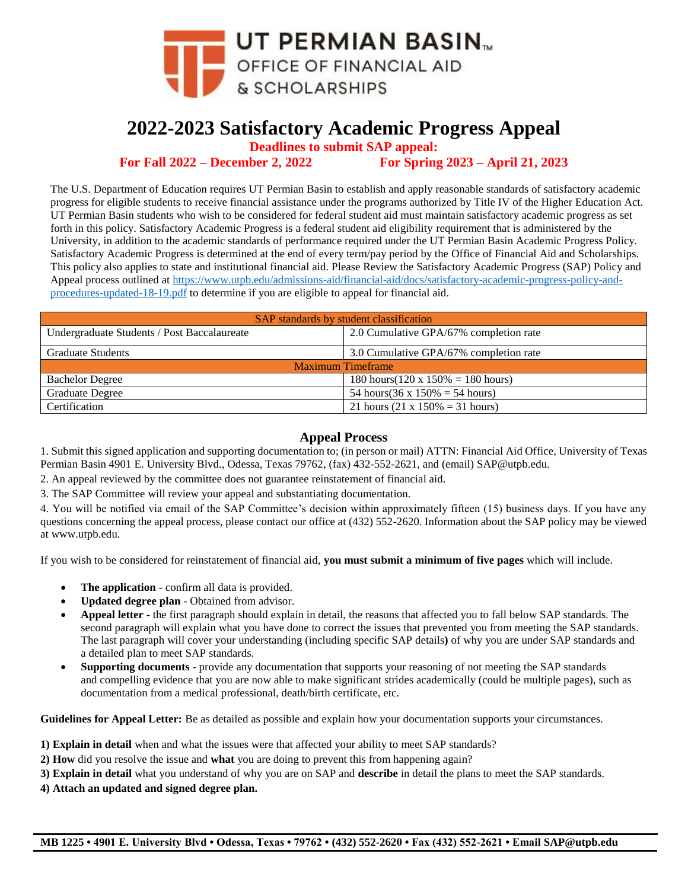

## **2022-2023 Satisfactory Academic Progress Appeal**

**Deadlines to submit SAP appeal:**

**For Fall 2022 – December 2, 2022 For Spring 2023 – April 21, 2023**

The U.S. Department of Education requires UT Permian Basin to establish and apply reasonable standards of satisfactory academic progress for eligible students to receive financial assistance under the programs authorized by Title IV of the Higher Education Act. UT Permian Basin students who wish to be considered for federal student aid must maintain satisfactory academic progress as set forth in this policy. Satisfactory Academic Progress is a federal student aid eligibility requirement that is administered by the University, in addition to the academic standards of performance required under the UT Permian Basin Academic Progress Policy. Satisfactory Academic Progress is determined at the end of every term/pay period by the Office of Financial Aid and Scholarships. This policy also applies to state and institutional financial aid. Please Review the Satisfactory Academic Progress (SAP) Policy and Appeal process outlined at [https://www.utpb.edu/admissions-aid/financial-aid/docs/satisfactory-academic-progress-policy-and](https://www.utpb.edu/admissions-aid/financial-aid/docs/satisfactory-academic-progress-policy-and-procedures-updated-18-19.pdf)[procedures-updated-18-19.pdf](https://www.utpb.edu/admissions-aid/financial-aid/docs/satisfactory-academic-progress-policy-and-procedures-updated-18-19.pdf) to determine if you are eligible to appeal for financial aid.

| SAP standards by student classification     |                                            |  |
|---------------------------------------------|--------------------------------------------|--|
| Undergraduate Students / Post Baccalaureate | 2.0 Cumulative GPA/67% completion rate     |  |
| <b>Graduate Students</b>                    | 3.0 Cumulative GPA/67% completion rate     |  |
| <b>Maximum Timeframe</b>                    |                                            |  |
| <b>Bachelor Degree</b>                      | 180 hours( $120 \times 150\% = 180$ hours) |  |
| <b>Graduate Degree</b>                      | 54 hours(36 x $150\% = 54$ hours)          |  |
| Certification                               | 21 hours $(21 \times 150\% = 31$ hours)    |  |

## **Appeal Process**

1. Submit this signed application and supporting documentation to; (in person or mail) ATTN: Financial Aid Office, University of Texas Permian Basin 4901 E. University Blvd., Odessa, Texas 79762, (fax) 432-552-2621, and (email) SAP@utpb.edu.

2. An appeal reviewed by the committee does not guarantee reinstatement of financial aid.

3. The SAP Committee will review your appeal and substantiating documentation.

4. You will be notified via email of the SAP Committee's decision within approximately fifteen (15) business days. If you have any questions concerning the appeal process, please contact our office at (432) 552-2620. Information about the SAP policy may be viewed at www.utpb.edu.

If you wish to be considered for reinstatement of financial aid, **you must submit a minimum of five pages** which will include.

- **The application** confirm all data is provided.
- **Updated degree plan** Obtained from advisor.
- **Appeal letter** the first paragraph should explain in detail, the reasons that affected you to fall below SAP standards. The second paragraph will explain what you have done to correct the issues that prevented you from meeting the SAP standards. The last paragraph will cover your understanding (including specific SAP details**)** of why you are under SAP standards and a detailed plan to meet SAP standards.
- **Supporting documents** provide any documentation that supports your reasoning of not meeting the SAP standards and compelling evidence that you are now able to make significant strides academically (could be multiple pages), such as documentation from a medical professional, death/birth certificate, etc.

**Guidelines for Appeal Letter:** Be as detailed as possible and explain how your documentation supports your circumstances.

**1) Explain in detail** when and what the issues were that affected your ability to meet SAP standards?

**2) How** did you resolve the issue and **what** you are doing to prevent this from happening again?

**3) Explain in detail** what you understand of why you are on SAP and **describe** in detail the plans to meet the SAP standards.

**4) Attach an updated and signed degree plan.**